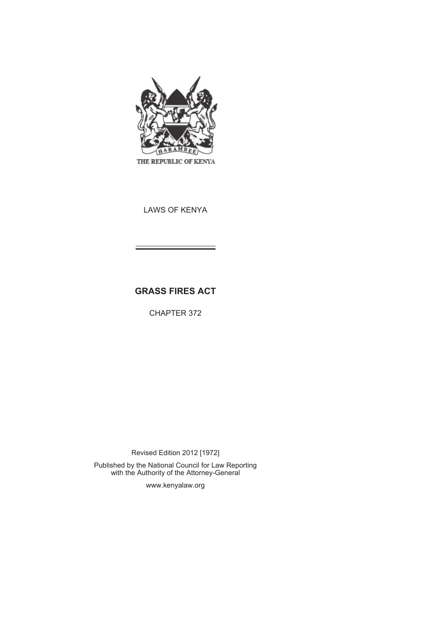

LAWS OF KENYA

# **GRASS FIRES ACT**

CHAPTER 372

Revised Edition 2012 [1972]

Published by the National Council for Law Reporting with the Authority of the Attorney-General

www.kenyalaw.org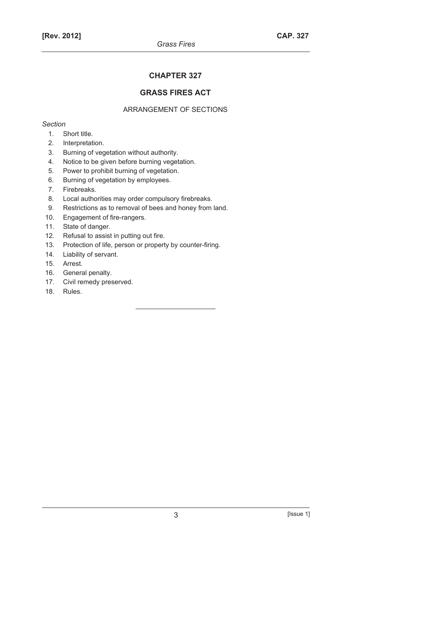## **CHAPTER 327**

## **GRASS FIRES ACT**

## ARRANGEMENT OF SECTIONS

*Section* 

- 1. Short title.
- 2. Interpretation.
- 3. Burning of vegetation without authority.
- 4. Notice to be given before burning vegetation.
- 5. Power to prohibit burning of vegetation.
- 6. Burning of vegetation by employees.
- 7. Firebreaks.
- 8. Local authorities may order compulsory firebreaks.
- 9. Restrictions as to removal of bees and honey from land.
- 10. Engagement of fire-rangers.
- 11. State of danger.
- 12. Refusal to assist in putting out fire.
- 13. Protection of life, person or property by counter-firing.
- 14. Liability of servant.
- 15. Arrest.
- 16. General penalty.
- 17. Civil remedy preserved.
- 18. Rules.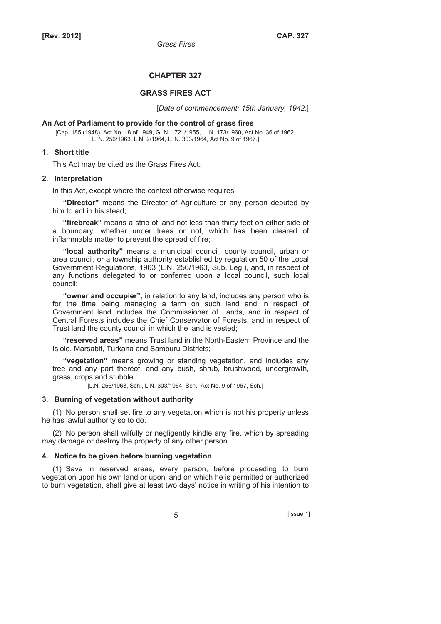#### **CHAPTER 327**

#### **GRASS FIRES ACT**

[*Date of commencement: 15th January, 1942*.]

#### **An Act of Parliament to provide for the control of grass fires**

[Cap. 185 (1948), Act No. 18 of 1949, G. N. 1721/1955, L. N. 173/1960, Act No. 36 of 1962, L. N. 256/1963, L.N. 2/1964, L. N. 303/1964, Act No. 9 of 1967.]

#### **1. Short title**

This Act may be cited as the Grass Fires Act.

#### **2. Interpretation**

In this Act, except where the context otherwise requires—

**"Director"** means the Director of Agriculture or any person deputed by him to act in his stead;

**"firebreak"** means a strip of land not less than thirty feet on either side of a boundary, whether under trees or not, which has been cleared of inflammable matter to prevent the spread of fire;

**"local authority"** means a municipal council, county council, urban or area council, or a township authority established by regulation 50 of the Local Government Regulations, 1963 (L.N. 256/1963, Sub. Leg.), and, in respect of any functions delegated to or conferred upon a local council, such local council;

**"owner and occupier"**, in relation to any land, includes any person who is for the time being managing a farm on such land and in respect of Government land includes the Commissioner of Lands, and in respect of Central Forests includes the Chief Conservator of Forests, and in respect of Trust land the county council in which the land is vested;

**"reserved areas"** means Trust land in the North-Eastern Province and the Isiolo, Marsabit, Turkana and Samburu Districts;

**"vegetation"** means growing or standing vegetation, and includes any tree and any part thereof, and any bush, shrub, brushwood, undergrowth, grass, crops and stubble.

[L.N. 256/1963, Sch., L.N. 303/1964, Sch., Act No. 9 of 1967, Sch.]

#### **3. Burning of vegetation without authority**

(1) No person shall set fire to any vegetation which is not his property unless he has lawful authority so to do.

(2) No person shall wilfully or negligently kindle any fire, which by spreading may damage or destroy the property of any other person.

#### **4. Notice to be given before burning vegetation**

(1) Save in reserved areas, every person, before proceeding to burn vegetation upon his own land or upon land on which he is permitted or authorized to burn vegetation, shall give at least two days' notice in writing of his intention to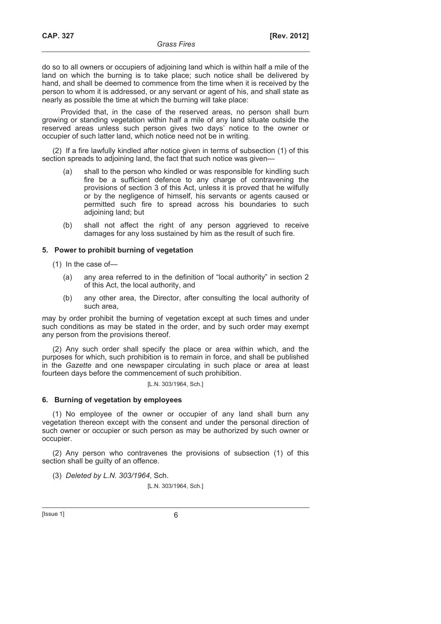do so to all owners or occupiers of adjoining land which is within half a mile of the land on which the burning is to take place; such notice shall be delivered by hand, and shall be deemed to commence from the time when it is received by the person to whom it is addressed, or any servant or agent of his, and shall state as nearly as possible the time at which the burning will take place:

Provided that, in the case of the reserved areas, no person shall burn growing or standing vegetation within half a mile of any land situate outside the reserved areas unless such person gives two days' notice to the owner or occupier of such latter land, which notice need not be in writing.

(2) If a fire lawfully kindled after notice given in terms of subsection (1) of this section spreads to adjoining land, the fact that such notice was given—

- (a) shall to the person who kindled or was responsible for kindling such fire be a sufficient defence to any charge of contravening the provisions of section 3 of this Act, unless it is proved that he wilfully or by the negligence of himself, his servants or agents caused or permitted such fire to spread across his boundaries to such adjoining land; but
- (b) shall not affect the right of any person aggrieved to receive damages for any loss sustained by him as the result of such fire.

### **5. Power to prohibit burning of vegetation**

(1) In the case of—

- (a) any area referred to in the definition of "local authority" in section 2 of this Act, the local authority, and
- (b) any other area, the Director, after consulting the local authority of such area,

may by order prohibit the burning of vegetation except at such times and under such conditions as may be stated in the order, and by such order may exempt any person from the provisions thereof.

(2) Any such order shall specify the place or area within which, and the purposes for which, such prohibition is to remain in force, and shall be published in the *Gazette* and one newspaper circulating in such place or area at least fourteen days before the commencement of such prohibition.

[L.N. 303/1964, Sch.]

#### **6. Burning of vegetation by employees**

(1) No employee of the owner or occupier of any land shall burn any vegetation thereon except with the consent and under the personal direction of such owner or occupier or such person as may be authorized by such owner or occupier.

(2) Any person who contravenes the provisions of subsection (1) of this section shall be quilty of an offence.

(3) *Deleted by L.N. 303/1964*, Sch.

[L.N. 303/1964, Sch.]

 $[|$ ssue 1 $]$  6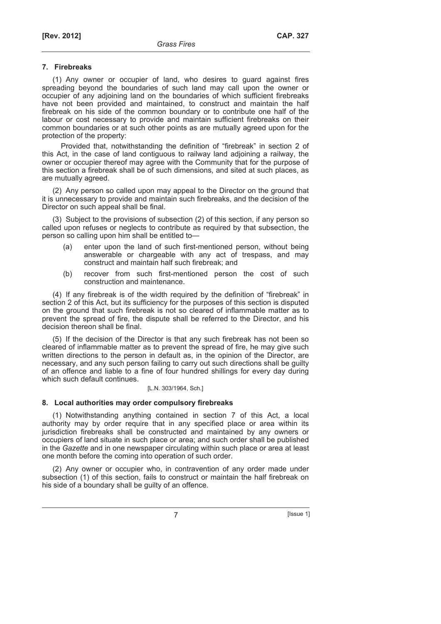### **7. Firebreaks**

(1) Any owner or occupier of land, who desires to guard against fires spreading beyond the boundaries of such land may call upon the owner or occupier of any adjoining land on the boundaries of which sufficient firebreaks have not been provided and maintained, to construct and maintain the half firebreak on his side of the common boundary or to contribute one half of the labour or cost necessary to provide and maintain sufficient firebreaks on their common boundaries or at such other points as are mutually agreed upon for the protection of the property:

Provided that, notwithstanding the definition of "firebreak" in section 2 of this Act, in the case of land contiguous to railway land adjoining a railway, the owner or occupier thereof may agree with the Community that for the purpose of this section a firebreak shall be of such dimensions, and sited at such places, as are mutually agreed.

(2) Any person so called upon may appeal to the Director on the ground that it is unnecessary to provide and maintain such firebreaks, and the decision of the Director on such appeal shall be final.

(3) Subject to the provisions of subsection (2) of this section, if any person so called upon refuses or neglects to contribute as required by that subsection, the person so calling upon him shall be entitled to—

- (a) enter upon the land of such first-mentioned person, without being answerable or chargeable with any act of trespass, and may construct and maintain half such firebreak; and
- (b) recover from such first-mentioned person the cost of such construction and maintenance.

(4) If any firebreak is of the width required by the definition of "firebreak" in section 2 of this Act, but its sufficiency for the purposes of this section is disputed on the ground that such firebreak is not so cleared of inflammable matter as to prevent the spread of fire, the dispute shall be referred to the Director, and his decision thereon shall be final.

(5) If the decision of the Director is that any such firebreak has not been so cleared of inflammable matter as to prevent the spread of fire, he may give such written directions to the person in default as, in the opinion of the Director, are necessary, and any such person failing to carry out such directions shall be guilty of an offence and liable to a fine of four hundred shillings for every day during which such default continues.

[L.N. 303/1964, Sch.]

## **8. Local authorities may order compulsory firebreaks**

(1) Notwithstanding anything contained in section 7 of this Act, a local authority may by order require that in any specified place or area within its jurisdiction firebreaks shall be constructed and maintained by any owners or occupiers of land situate in such place or area; and such order shall be published in the *Gazette* and in one newspaper circulating within such place or area at least one month before the coming into operation of such order.

(2) Any owner or occupier who, in contravention of any order made under subsection (1) of this section, fails to construct or maintain the half firebreak on his side of a boundary shall be guilty of an offence.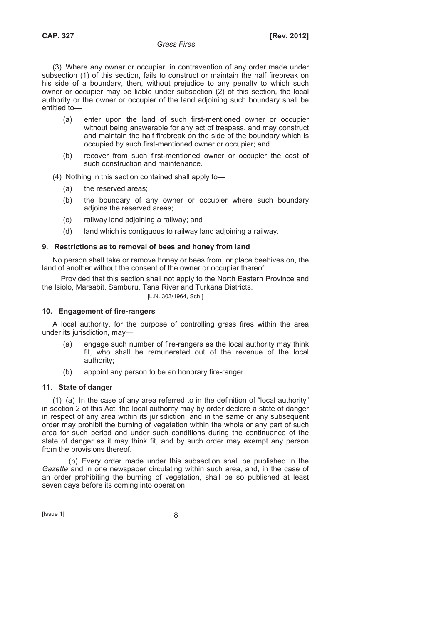(3) Where any owner or occupier, in contravention of any order made under subsection (1) of this section, fails to construct or maintain the half firebreak on his side of a boundary, then, without prejudice to any penalty to which such owner or occupier may be liable under subsection (2) of this section, the local authority or the owner or occupier of the land adjoining such boundary shall be entitled to—

- (a) enter upon the land of such first-mentioned owner or occupier without being answerable for any act of trespass, and may construct and maintain the half firebreak on the side of the boundary which is occupied by such first-mentioned owner or occupier; and
- (b) recover from such first-mentioned owner or occupier the cost of such construction and maintenance.
- (4) Nothing in this section contained shall apply to—
	- (a) the reserved areas;
	- (b) the boundary of any owner or occupier where such boundary adioins the reserved areas:
	- (c) railway land adjoining a railway; and
	- (d) land which is contiguous to railway land adjoining a railway.

### **9. Restrictions as to removal of bees and honey from land**

No person shall take or remove honey or bees from, or place beehives on, the land of another without the consent of the owner or occupier thereof:

Provided that this section shall not apply to the North Eastern Province and the Isiolo, Marsabit, Samburu, Tana River and Turkana Districts. [L.N. 303/1964, Sch.]

### **10. Engagement of fire-rangers**

A local authority, for the purpose of controlling grass fires within the area under its jurisdiction, may—

- (a) engage such number of fire-rangers as the local authority may think fit, who shall be remunerated out of the revenue of the local authority;
- (b) appoint any person to be an honorary fire-ranger.

### **11. State of danger**

(1) (a) In the case of any area referred to in the definition of "local authority" in section 2 of this Act, the local authority may by order declare a state of danger in respect of any area within its jurisdiction, and in the same or any subsequent order may prohibit the burning of vegetation within the whole or any part of such area for such period and under such conditions during the continuance of the state of danger as it may think fit, and by such order may exempt any person from the provisions thereof.

(b) Every order made under this subsection shall be published in the *Gazette* and in one newspaper circulating within such area, and, in the case of an order prohibiting the burning of vegetation, shall be so published at least seven days before its coming into operation.

 $[|$  Issue 1 $|$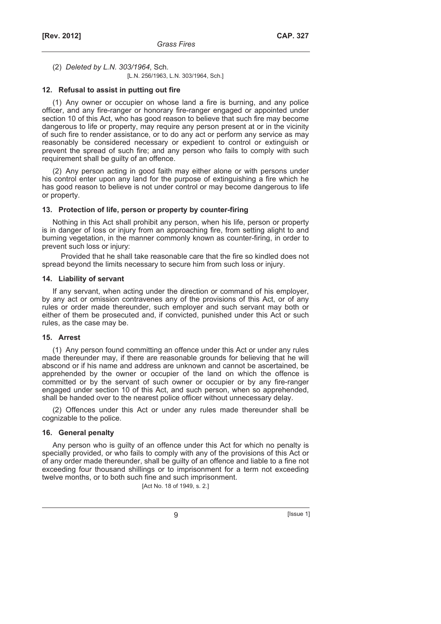(2) *Deleted by L.N. 303/1964*, Sch*.*

[L.N. 256/1963, L.N. 303/1964, Sch.]

#### **12. Refusal to assist in putting out fire**

(1) Any owner or occupier on whose land a fire is burning, and any police officer, and any fire-ranger or honorary fire-ranger engaged or appointed under section 10 of this Act, who has good reason to believe that such fire may become dangerous to life or property, may require any person present at or in the vicinity of such fire to render assistance, or to do any act or perform any service as may reasonably be considered necessary or expedient to control or extinguish or prevent the spread of such fire; and any person who fails to comply with such requirement shall be guilty of an offence.

(2) Any person acting in good faith may either alone or with persons under his control enter upon any land for the purpose of extinguishing a fire which he has good reason to believe is not under control or may become dangerous to life or property.

#### **13. Protection of life, person or property by counter-firing**

Nothing in this Act shall prohibit any person, when his life, person or property is in danger of loss or injury from an approaching fire, from setting alight to and burning vegetation, in the manner commonly known as counter-firing, in order to prevent such loss or injury:

Provided that he shall take reasonable care that the fire so kindled does not spread beyond the limits necessary to secure him from such loss or injury.

#### **14. Liability of servant**

If any servant, when acting under the direction or command of his employer, by any act or omission contravenes any of the provisions of this Act, or of any rules or order made thereunder, such employer and such servant may both or either of them be prosecuted and, if convicted, punished under this Act or such rules, as the case may be.

### **15. Arrest**

(1) Any person found committing an offence under this Act or under any rules made thereunder may, if there are reasonable grounds for believing that he will abscond or if his name and address are unknown and cannot be ascertained, be apprehended by the owner or occupier of the land on which the offence is committed or by the servant of such owner or occupier or by any fire-ranger engaged under section 10 of this Act, and such person, when so apprehended, shall be handed over to the nearest police officer without unnecessary delay.

(2) Offences under this Act or under any rules made thereunder shall be cognizable to the police.

### **16. General penalty**

Any person who is guilty of an offence under this Act for which no penalty is specially provided, or who fails to comply with any of the provisions of this Act or of any order made thereunder, shall be guilty of an offence and liable to a fine not exceeding four thousand shillings or to imprisonment for a term not exceeding twelve months, or to both such fine and such imprisonment.

[Act No. 18 of 1949, s. 2.]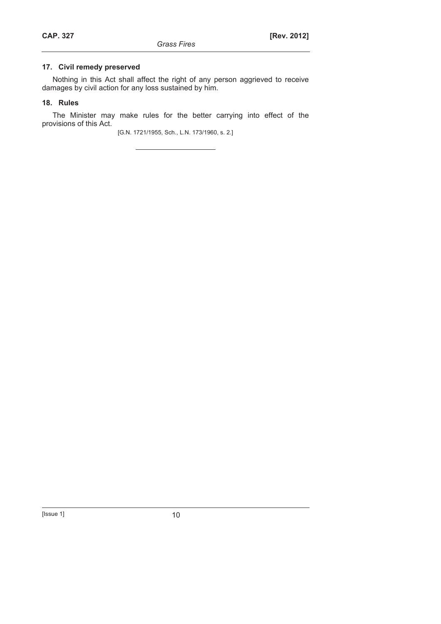## **17. Civil remedy preserved**

Nothing in this Act shall affect the right of any person aggrieved to receive damages by civil action for any loss sustained by him.

## **18. Rules**

The Minister may make rules for the better carrying into effect of the provisions of this Act.

[G.N. 1721/1955, Sch., L.N. 173/1960, s. 2.]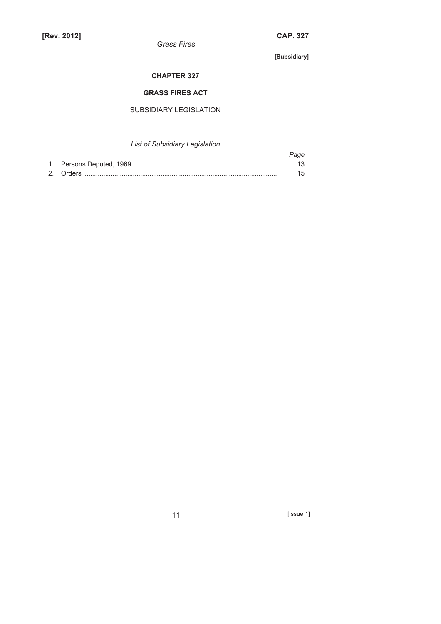*Grass Fires* 

**[Subsidiary]** 

## **CHAPTER 327**

## **GRASS FIRES ACT**

## SUBSIDIARY LEGISLATION

## *List of Subsidiary Legislation*

|  | Page |
|--|------|
|  | 13.  |
|  | 15   |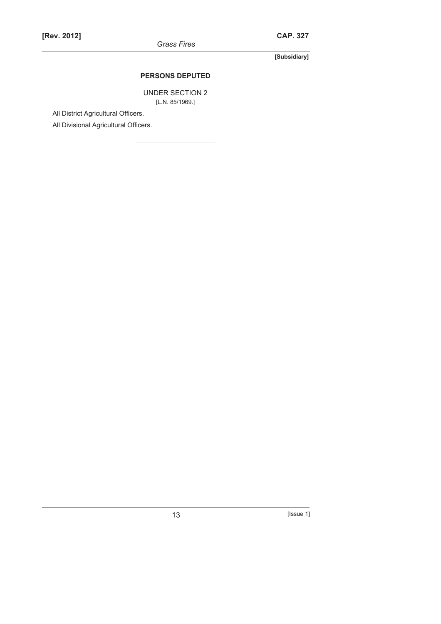*Grass Fires* 

**[Subsidiary]** 

## **PERSONS DEPUTED**

UNDER SECTION 2 [L.N. 85/1969.]

All District Agricultural Officers.

All Divisional Agricultural Officers.